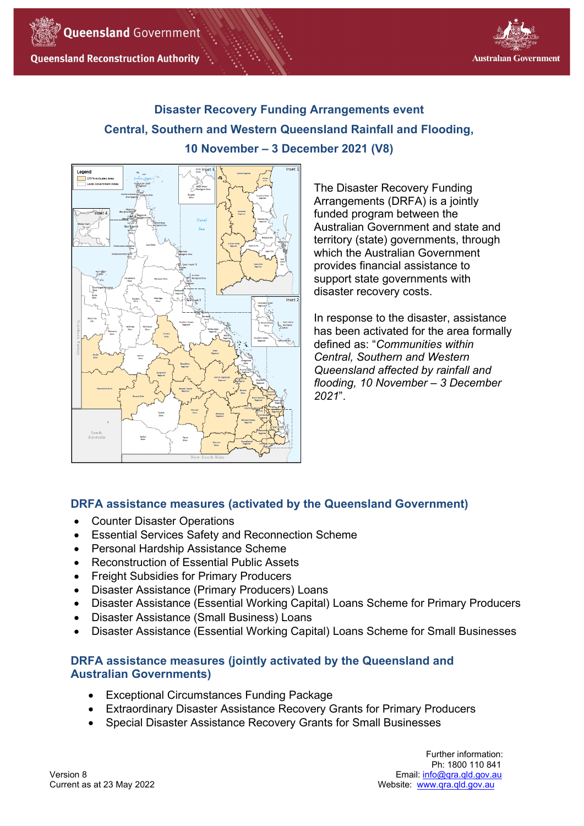



# **Disaster Recovery Funding Arrangements event Central, Southern and Western Queensland Rainfall and Flooding, 10 November – 3 December 2021 (V8)**



The Disaster Recovery Funding Arrangements (DRFA) is a jointly funded program between the Australian Government and state and territory (state) governments, through which the Australian Government provides financial assistance to support state governments with disaster recovery costs.

In response to the disaster, assistance has been activated for the area formally defined as: "*Communities within Central, Southern and Western Queensland affected by rainfall and flooding, 10 November – 3 December 2021*".

# **DRFA assistance measures (activated by the Queensland Government)**

- Counter Disaster Operations
- Essential Services Safety and Reconnection Scheme
- Personal Hardship Assistance Scheme
- Reconstruction of Essential Public Assets
- Freight Subsidies for Primary Producers
- Disaster Assistance (Primary Producers) Loans
- Disaster Assistance (Essential Working Capital) Loans Scheme for Primary Producers
- Disaster Assistance (Small Business) Loans
- Disaster Assistance (Essential Working Capital) Loans Scheme for Small Businesses

# **DRFA assistance measures (jointly activated by the Queensland and Australian Governments)**

- Exceptional Circumstances Funding Package
- Extraordinary Disaster Assistance Recovery Grants for Primary Producers
- Special Disaster Assistance Recovery Grants for Small Businesses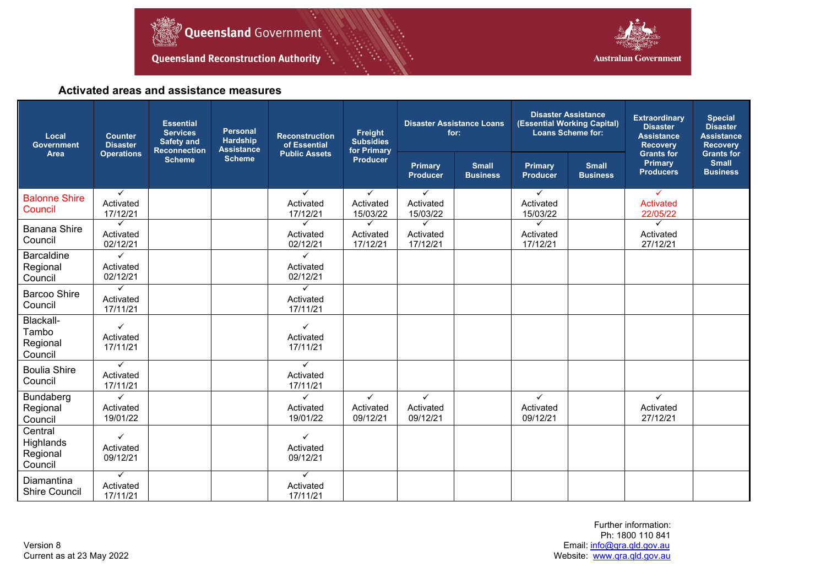



# **Activated areas and assistance measures**

| Local<br><b>Government</b>                  | <b>Counter</b><br><b>Disaster</b><br><b>Operations</b> | <b>Essential</b><br><b>Services</b><br><b>Safety and</b><br><b>Reconnection</b><br><b>Scheme</b> | <b>Personal</b><br><b>Hardship</b><br><b>Assistance</b><br><b>Scheme</b> | <b>Reconstruction</b><br>of Essential<br><b>Public Assets</b> | Freight<br><b>Subsidies</b><br>for Primary<br>Producer | <b>Disaster Assistance Loans</b><br>for: |                                 | <b>Disaster Assistance</b><br>(Essential Working Capital)<br><b>Loans Scheme for:</b> |                                 | <b>Extraordinary</b><br><b>Disaster</b><br><b>Assistance</b><br><b>Recovery</b> | <b>Special</b><br><b>Disaster</b><br><b>Assistance</b><br><b>Recovery</b> |
|---------------------------------------------|--------------------------------------------------------|--------------------------------------------------------------------------------------------------|--------------------------------------------------------------------------|---------------------------------------------------------------|--------------------------------------------------------|------------------------------------------|---------------------------------|---------------------------------------------------------------------------------------|---------------------------------|---------------------------------------------------------------------------------|---------------------------------------------------------------------------|
| Area                                        |                                                        |                                                                                                  |                                                                          |                                                               |                                                        | Primary<br><b>Producer</b>               | <b>Small</b><br><b>Business</b> | <b>Primary</b><br><b>Producer</b>                                                     | <b>Small</b><br><b>Business</b> | <b>Grants for</b><br><b>Primary</b><br><b>Producers</b>                         | <b>Grants for</b><br><b>Small</b><br><b>Business</b>                      |
| <b>Balonne Shire</b><br>Council             | $\checkmark$<br>Activated<br>17/12/21                  |                                                                                                  |                                                                          | $\checkmark$<br>Activated<br>17/12/21                         | $\checkmark$<br>Activated<br>15/03/22                  | $\checkmark$<br>Activated<br>15/03/22    |                                 | $\checkmark$<br>Activated<br>15/03/22                                                 |                                 | $\checkmark$<br>Activated<br>22/05/22                                           |                                                                           |
| <b>Banana Shire</b><br>Council              | ✓<br>Activated<br>02/12/21                             |                                                                                                  |                                                                          | ✓<br>Activated<br>02/12/21                                    | ✓<br>Activated<br>17/12/21                             | ✓<br>Activated<br>17/12/21               |                                 | ✓<br>Activated<br>17/12/21                                                            |                                 | $\checkmark$<br>Activated<br>27/12/21                                           |                                                                           |
| <b>Barcaldine</b><br>Regional<br>Council    | ✓<br>Activated<br>02/12/21                             |                                                                                                  |                                                                          | $\checkmark$<br>Activated<br>02/12/21                         |                                                        |                                          |                                 |                                                                                       |                                 |                                                                                 |                                                                           |
| Barcoo Shire<br>Council                     | $\checkmark$<br>Activated<br>17/11/21                  |                                                                                                  |                                                                          | ✓<br>Activated<br>17/11/21                                    |                                                        |                                          |                                 |                                                                                       |                                 |                                                                                 |                                                                           |
| Blackall-<br>Tambo<br>Regional<br>Council   | $\checkmark$<br>Activated<br>17/11/21                  |                                                                                                  |                                                                          | ✓<br>Activated<br>17/11/21                                    |                                                        |                                          |                                 |                                                                                       |                                 |                                                                                 |                                                                           |
| <b>Boulia Shire</b><br>Council              | $\checkmark$<br>Activated<br>17/11/21                  |                                                                                                  |                                                                          | ✓<br>Activated<br>17/11/21                                    |                                                        |                                          |                                 |                                                                                       |                                 |                                                                                 |                                                                           |
| Bundaberg<br>Regional<br>Council            | ✓<br>Activated<br>19/01/22                             |                                                                                                  |                                                                          | ✓<br>Activated<br>19/01/22                                    | $\checkmark$<br>Activated<br>09/12/21                  | ✓<br>Activated<br>09/12/21               |                                 | $\checkmark$<br>Activated<br>09/12/21                                                 |                                 | $\checkmark$<br>Activated<br>27/12/21                                           |                                                                           |
| Central<br>Highlands<br>Regional<br>Council | ✓<br>Activated<br>09/12/21                             |                                                                                                  |                                                                          | ✓<br>Activated<br>09/12/21                                    |                                                        |                                          |                                 |                                                                                       |                                 |                                                                                 |                                                                           |
| Diamantina<br><b>Shire Council</b>          | $\checkmark$<br>Activated<br>17/11/21                  |                                                                                                  |                                                                          | ✓<br>Activated<br>17/11/21                                    |                                                        |                                          |                                 |                                                                                       |                                 |                                                                                 |                                                                           |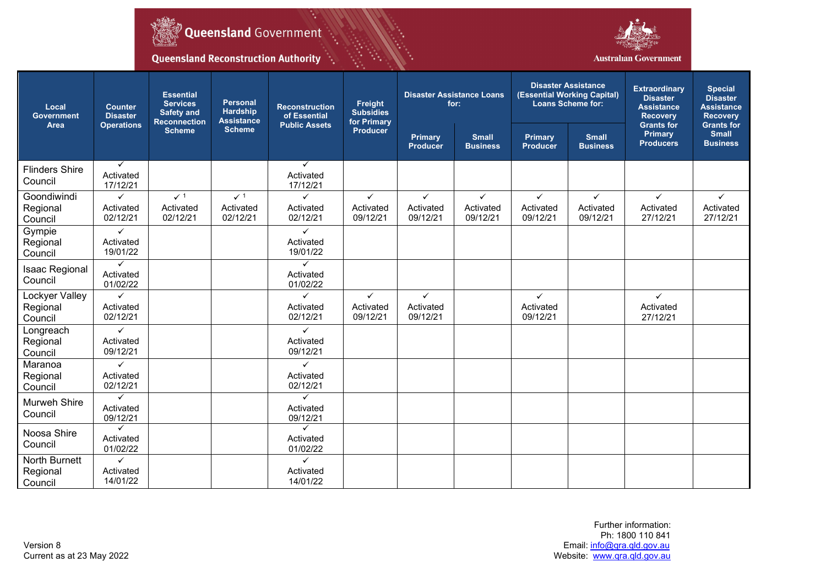



**Queensland Reconstruction Authority** 

۰,

| Local<br><b>Government</b><br>Area    | <b>Counter</b><br><b>Disaster</b><br><b>Operations</b> | <b>Essential</b><br><b>Services</b><br><b>Safety and</b><br><b>Reconnection</b> | <b>Personal</b><br><b>Hardship</b><br><b>Assistance</b> | Freight<br><b>Reconstruction</b><br><b>Subsidies</b><br>of Essential<br>for Primary<br><b>Public Assets</b> |                                       | <b>Disaster Assistance Loans</b><br>for: |                                       | <b>Disaster Assistance</b><br>(Essential Working Capital)<br><b>Loans Scheme for:</b> |                                 | <b>Extraordinary</b><br><b>Disaster</b><br><b>Assistance</b><br><b>Recovery</b><br><b>Grants for</b> | <b>Special</b><br><b>Disaster</b><br><b>Assistance</b><br><b>Recovery</b><br><b>Grants for</b> |
|---------------------------------------|--------------------------------------------------------|---------------------------------------------------------------------------------|---------------------------------------------------------|-------------------------------------------------------------------------------------------------------------|---------------------------------------|------------------------------------------|---------------------------------------|---------------------------------------------------------------------------------------|---------------------------------|------------------------------------------------------------------------------------------------------|------------------------------------------------------------------------------------------------|
|                                       |                                                        | <b>Scheme</b>                                                                   | <b>Scheme</b>                                           |                                                                                                             | <b>Producer</b>                       | Primary<br><b>Producer</b>               | <b>Small</b><br><b>Business</b>       | Primary<br><b>Producer</b>                                                            | <b>Small</b><br><b>Business</b> | <b>Primary</b><br><b>Producers</b>                                                                   | <b>Small</b><br><b>Business</b>                                                                |
| <b>Flinders Shire</b><br>Council      | $\checkmark$<br>Activated<br>17/12/21                  |                                                                                 |                                                         | ✓<br>Activated<br>17/12/21                                                                                  |                                       |                                          |                                       |                                                                                       |                                 |                                                                                                      |                                                                                                |
| Goondiwindi<br>Regional<br>Council    | ✓<br>Activated<br>02/12/21                             | $\checkmark$ 1<br>Activated<br>02/12/21                                         | $\checkmark$ 1<br>Activated<br>02/12/21                 | ✓<br>Activated<br>02/12/21                                                                                  | $\checkmark$<br>Activated<br>09/12/21 | $\checkmark$<br>Activated<br>09/12/21    | $\checkmark$<br>Activated<br>09/12/21 | $\checkmark$<br>Activated<br>09/12/21                                                 | ✓<br>Activated<br>09/12/21      | $\checkmark$<br>Activated<br>27/12/21                                                                | $\checkmark$<br>Activated<br>27/12/21                                                          |
| Gympie<br>Regional<br>Council         | $\checkmark$<br>Activated<br>19/01/22                  |                                                                                 |                                                         | ✓<br>Activated<br>19/01/22                                                                                  |                                       |                                          |                                       |                                                                                       |                                 |                                                                                                      |                                                                                                |
| <b>Isaac Regional</b><br>Council      | $\checkmark$<br>Activated<br>01/02/22                  |                                                                                 |                                                         | $\checkmark$<br>Activated<br>01/02/22                                                                       |                                       |                                          |                                       |                                                                                       |                                 |                                                                                                      |                                                                                                |
| Lockyer Valley<br>Regional<br>Council | Activated<br>02/12/21                                  |                                                                                 |                                                         | Activated<br>02/12/21                                                                                       | ✓<br>Activated<br>09/12/21            | $\checkmark$<br>Activated<br>09/12/21    |                                       | $\checkmark$<br>Activated<br>09/12/21                                                 |                                 | $\checkmark$<br>Activated<br>27/12/21                                                                |                                                                                                |
| Longreach<br>Regional<br>Council      | $\checkmark$<br>Activated<br>09/12/21                  |                                                                                 |                                                         | ✓<br>Activated<br>09/12/21                                                                                  |                                       |                                          |                                       |                                                                                       |                                 |                                                                                                      |                                                                                                |
| Maranoa<br>Regional<br>Council        | $\checkmark$<br>Activated<br>02/12/21                  |                                                                                 |                                                         | $\checkmark$<br>Activated<br>02/12/21                                                                       |                                       |                                          |                                       |                                                                                       |                                 |                                                                                                      |                                                                                                |
| Murweh Shire<br>Council               | $\checkmark$<br>Activated<br>09/12/21                  |                                                                                 |                                                         | ✓<br>Activated<br>09/12/21                                                                                  |                                       |                                          |                                       |                                                                                       |                                 |                                                                                                      |                                                                                                |
| Noosa Shire<br>Council                | ✓<br>Activated<br>01/02/22                             |                                                                                 |                                                         | ✓<br>Activated<br>01/02/22                                                                                  |                                       |                                          |                                       |                                                                                       |                                 |                                                                                                      |                                                                                                |
| North Burnett<br>Regional<br>Council  | $\checkmark$<br>Activated<br>14/01/22                  |                                                                                 |                                                         | $\checkmark$<br>Activated<br>14/01/22                                                                       |                                       |                                          |                                       |                                                                                       |                                 |                                                                                                      |                                                                                                |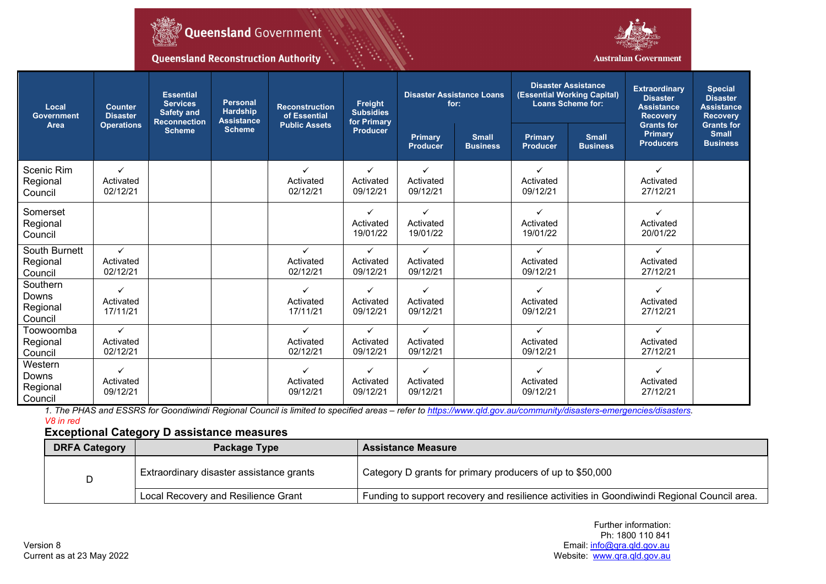



Queensland Reconstruction Authority (1)

| Local<br>Government<br>Area              | <b>Counter</b><br><b>Disaster</b><br><b>Operations</b> | <b>Essential</b><br><b>Services</b><br><b>Safety and</b><br><b>Reconnection</b> | <b>Personal</b><br><b>Hardship</b><br><b>Assistance</b> | Freight<br><b>Reconstruction</b><br><b>Subsidies</b><br>of Essential<br>for Primary<br><b>Public Assets</b> |                                       | <b>Disaster Assistance Loans</b><br>for: |                                 | <b>Disaster Assistance</b><br>(Essential Working Capital)<br><b>Loans Scheme for:</b> |                                 | <b>Extraordinary</b><br><b>Disaster</b><br><b>Assistance</b><br><b>Recovery</b><br><b>Grants for</b> | <b>Special</b><br><b>Disaster</b><br><b>Assistance</b><br><b>Recovery</b><br><b>Grants for</b> |
|------------------------------------------|--------------------------------------------------------|---------------------------------------------------------------------------------|---------------------------------------------------------|-------------------------------------------------------------------------------------------------------------|---------------------------------------|------------------------------------------|---------------------------------|---------------------------------------------------------------------------------------|---------------------------------|------------------------------------------------------------------------------------------------------|------------------------------------------------------------------------------------------------|
|                                          |                                                        | <b>Scheme</b>                                                                   | <b>Scheme</b>                                           |                                                                                                             | <b>Producer</b>                       | Primary<br><b>Producer</b>               | <b>Small</b><br><b>Business</b> | Primary<br><b>Producer</b>                                                            | <b>Small</b><br><b>Business</b> | <b>Primary</b><br><b>Producers</b>                                                                   | <b>Small</b><br><b>Business</b>                                                                |
| Scenic Rim<br>Regional<br>Council        | ✓<br>Activated<br>02/12/21                             |                                                                                 |                                                         | ✓<br>Activated<br>02/12/21                                                                                  | ✓<br>Activated<br>09/12/21            | ✓<br>Activated<br>09/12/21               |                                 | ✓<br>Activated<br>09/12/21                                                            |                                 | ✓<br>Activated<br>27/12/21                                                                           |                                                                                                |
| Somerset<br>Regional<br>Council          |                                                        |                                                                                 |                                                         |                                                                                                             | ✓<br>Activated<br>19/01/22            | $\checkmark$<br>Activated<br>19/01/22    |                                 | ✓<br>Activated<br>19/01/22                                                            |                                 | ✓<br>Activated<br>20/01/22                                                                           |                                                                                                |
| South Burnett<br>Regional<br>Council     | ✓<br>Activated<br>02/12/21                             |                                                                                 |                                                         | ✓<br>Activated<br>02/12/21                                                                                  | ✓<br>Activated<br>09/12/21            | $\checkmark$<br>Activated<br>09/12/21    |                                 | ✓<br>Activated<br>09/12/21                                                            |                                 | ✓<br>Activated<br>27/12/21                                                                           |                                                                                                |
| Southern<br>Downs<br>Regional<br>Council | ✓<br>Activated<br>17/11/21                             |                                                                                 |                                                         | ✓<br>Activated<br>17/11/21                                                                                  | Activated<br>09/12/21                 | ✓<br>Activated<br>09/12/21               |                                 | ✓<br>Activated<br>09/12/21                                                            |                                 | ✓<br>Activated<br>27/12/21                                                                           |                                                                                                |
| Toowoomba<br>Regional<br>Council         | $\checkmark$<br>Activated<br>02/12/21                  |                                                                                 |                                                         | $\checkmark$<br>Activated<br>02/12/21                                                                       | $\checkmark$<br>Activated<br>09/12/21 | $\checkmark$<br>Activated<br>09/12/21    |                                 | $\checkmark$<br>Activated<br>09/12/21                                                 |                                 | ✓<br>Activated<br>27/12/21                                                                           |                                                                                                |
| Western<br>Downs<br>Regional<br>Council  | ✓<br>Activated<br>09/12/21                             |                                                                                 |                                                         | Activated<br>09/12/21                                                                                       | Activated<br>09/12/21                 | ✓<br>Activated<br>09/12/21               |                                 | ✓<br>Activated<br>09/12/21                                                            |                                 | ✓<br>Activated<br>27/12/21                                                                           |                                                                                                |

*1. The PHAS and ESSRS for Goondiwindi Regional Council is limited to specified areas – refer t[o https://www.qld.gov.au/community/disasters-emergencies/disasters.](https://www.qld.gov.au/community/disasters-emergencies/disasters) V8 in red*

# **Exceptional Category D assistance measures**

| <b>DRFA Category</b> | Package Type                             | <b>Assistance Measure</b>                                                                   |  |  |  |  |  |
|----------------------|------------------------------------------|---------------------------------------------------------------------------------------------|--|--|--|--|--|
|                      | Extraordinary disaster assistance grants | Category D grants for primary producers of up to \$50,000                                   |  |  |  |  |  |
|                      | Local Recovery and Resilience Grant      | Funding to support recovery and resilience activities in Goondiwindi Regional Council area. |  |  |  |  |  |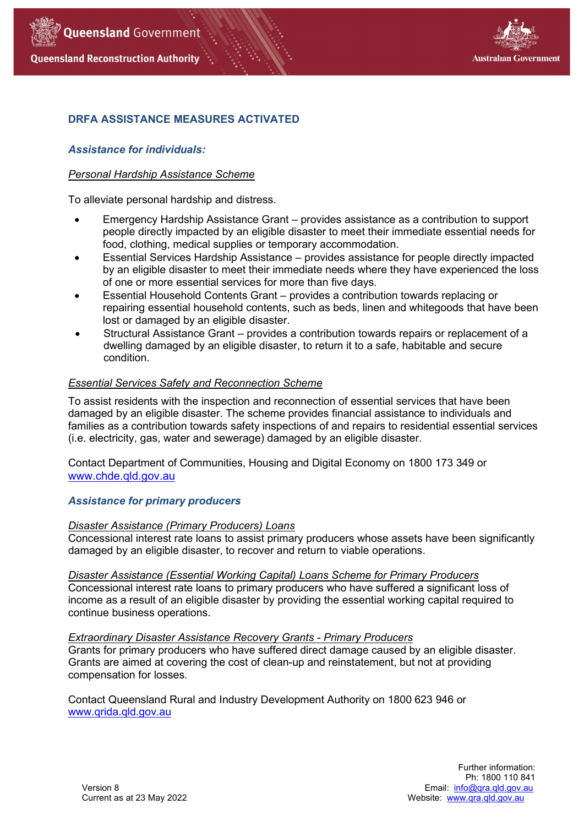



# **DRFA ASSISTANCE MEASURES ACTIVATED**

# *Assistance for individuals:*

## *Personal Hardship Assistance Scheme*

To alleviate personal hardship and distress.

- Emergency Hardship Assistance Grant provides assistance as a contribution to support people directly impacted by an eligible disaster to meet their immediate essential needs for food, clothing, medical supplies or temporary accommodation.
- Essential Services Hardship Assistance provides assistance for people directly impacted by an eligible disaster to meet their immediate needs where they have experienced the loss of one or more essential services for more than five days.
- Essential Household Contents Grant provides a contribution towards replacing or repairing essential household contents, such as beds, linen and whitegoods that have been lost or damaged by an eligible disaster.
- Structural Assistance Grant provides a contribution towards repairs or replacement of a dwelling damaged by an eligible disaster, to return it to a safe, habitable and secure condition.

# *Essential Services Safety and Reconnection Scheme*

To assist residents with the inspection and reconnection of essential services that have been damaged by an eligible disaster. The scheme provides financial assistance to individuals and families as a contribution towards safety inspections of and repairs to residential essential services (i.e. electricity, gas, water and sewerage) damaged by an eligible disaster.

Contact Department of Communities, Housing and Digital Economy on 1800 173 349 or [www.chde.qld.gov.au](http://www.chde.qld.gov.au/)

## *Assistance for primary producers*

## *Disaster Assistance (Primary Producers) Loans*

Concessional interest rate loans to assist primary producers whose assets have been significantly damaged by an eligible disaster, to recover and return to viable operations.

*Disaster Assistance (Essential Working Capital) Loans Scheme for Primary Producers*

Concessional interest rate loans to primary producers who have suffered a significant loss of income as a result of an eligible disaster by providing the essential working capital required to continue business operations.

## *Extraordinary Disaster Assistance Recovery Grants - Primary Producers*

Grants for primary producers who have suffered direct damage caused by an eligible disaster. Grants are aimed at covering the cost of clean-up and reinstatement, but not at providing compensation for losses.

Contact Queensland Rural and Industry Development Authority on 1800 623 946 or [www.qrida.qld.gov.au](http://www.qrida.qld.gov.au/)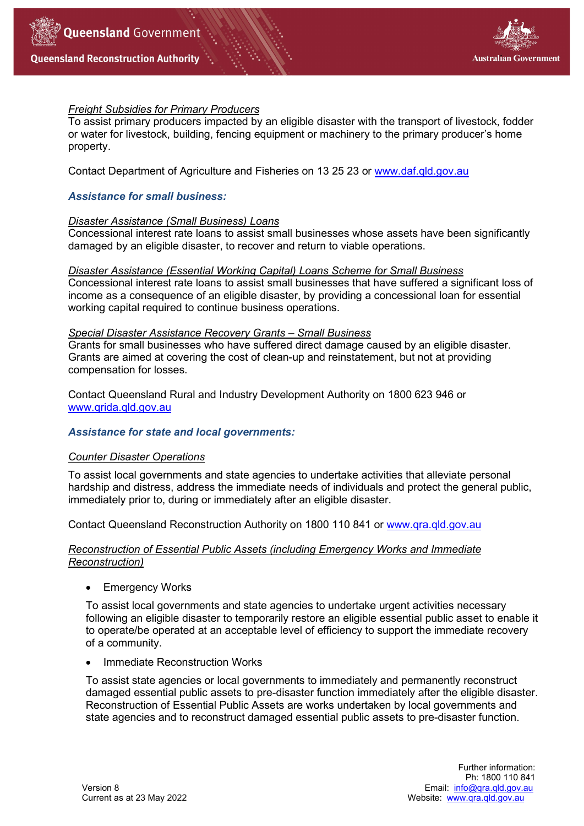



# *Freight Subsidies for Primary Producers*

To assist primary producers impacted by an eligible disaster with the transport of livestock, fodder or water for livestock, building, fencing equipment or machinery to the primary producer's home property.

Contact Department of Agriculture and Fisheries on 13 25 23 or [www.daf.qld.gov.au](http://www.daf.qld.gov.au/)

# *Assistance for small business:*

## *Disaster Assistance (Small Business) Loans*

Concessional interest rate loans to assist small businesses whose assets have been significantly damaged by an eligible disaster, to recover and return to viable operations.

#### *Disaster Assistance (Essential Working Capital) Loans Scheme for Small Business*

Concessional interest rate loans to assist small businesses that have suffered a significant loss of income as a consequence of an eligible disaster, by providing a concessional loan for essential working capital required to continue business operations.

#### *Special Disaster Assistance Recovery Grants – Small Business*

Grants for small businesses who have suffered direct damage caused by an eligible disaster. Grants are aimed at covering the cost of clean-up and reinstatement, but not at providing compensation for losses.

Contact Queensland Rural and Industry Development Authority on 1800 623 946 or [www.qrida.qld.gov.au](http://www.qrida.qld.gov.au/)

## *Assistance for state and local governments:*

## *Counter Disaster Operations*

To assist local governments and state agencies to undertake activities that alleviate personal hardship and distress, address the immediate needs of individuals and protect the general public, immediately prior to, during or immediately after an eligible disaster.

Contact Queensland Reconstruction Authority on 1800 110 841 or [www.qra.qld.gov.au](http://www.qra.qld.gov.au/)

# *Reconstruction of Essential Public Assets (including Emergency Works and Immediate Reconstruction)*

• Emergency Works

To assist local governments and state agencies to undertake urgent activities necessary following an eligible disaster to temporarily restore an eligible essential public asset to enable it to operate/be operated at an acceptable level of efficiency to support the immediate recovery of a community.

• Immediate Reconstruction Works

To assist state agencies or local governments to immediately and permanently reconstruct damaged essential public assets to pre-disaster function immediately after the eligible disaster. Reconstruction of Essential Public Assets are works undertaken by local governments and state agencies and to reconstruct damaged essential public assets to pre-disaster function.